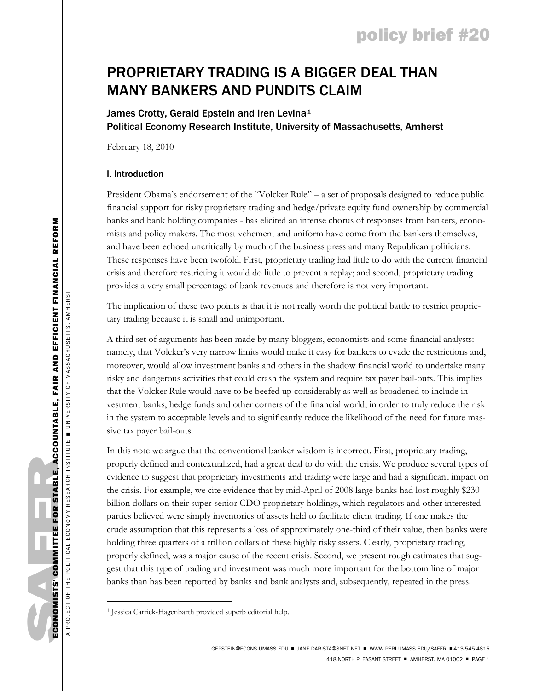# policy brief #20

# PROPRIETARY TRADING IS A BIGGER DEAL THAN MANY BANKERS AND PUNDITS CLAIM

# James Crotty, Gerald Epstein and Iren Levina<sup>[1](#page-0-0)</sup> Political Economy Research Institute, University of Massachusetts, Amherst

February 18, 2010

## I. Introduction

President Obama's endorsement of the "Volcker Rule" – a set of proposals designed to reduce public financial support for risky proprietary trading and hedge/private equity fund ownership by commercial banks and bank holding companies - has elicited an intense chorus of responses from bankers, economists and policy makers. The most vehement and uniform have come from the bankers themselves, and have been echoed uncritically by much of the business press and many Republican politicians. These responses have been twofold. First, proprietary trading had little to do with the current financial crisis and therefore restricting it would do little to prevent a replay; and second, proprietary trading provides a very small percentage of bank revenues and therefore is not very important.

The implication of these two points is that it is not really worth the political battle to restrict proprietary trading because it is small and unimportant.

A third set of arguments has been made by many bloggers, economists and some financial analysts: namely, that Volcker's very narrow limits would make it easy for bankers to evade the restrictions and, moreover, would allow investment banks and others in the shadow financial world to undertake many risky and dangerous activities that could crash the system and require tax payer bail-outs. This implies that the Volcker Rule would have to be beefed up considerably as well as broadened to include investment banks, hedge funds and other corners of the financial world, in order to truly reduce the risk in the system to acceptable levels and to significantly reduce the likelihood of the need for future massive tax payer bail-outs.

In this note we argue that the conventional banker wisdom is incorrect. First, proprietary trading, properly defined and contextualized, had a great deal to do with the crisis. We produce several types of evidence to suggest that proprietary investments and trading were large and had a significant impact on the crisis. For example, we cite evidence that by mid-April of 2008 large banks had lost roughly \$230 billion dollars on their super-senior CDO proprietary holdings, which regulators and other interested parties believed were simply inventories of assets held to facilitate client trading. If one makes the crude assumption that this represents a loss of approximately one-third of their value, then banks were holding three quarters of a trillion dollars of these highly risky assets. Clearly, proprietary trading, properly defined, was a major cause of the recent crisis. Second, we present rough estimates that suggest that this type of trading and investment was much more important for the bottom line of major banks than has been reported by banks and bank analysts and, subsequently, repeated in the press.

 $\overline{a}$ 

<span id="page-0-0"></span><sup>1</sup> Jessica Carrick-Hagenbarth provided superb editorial help.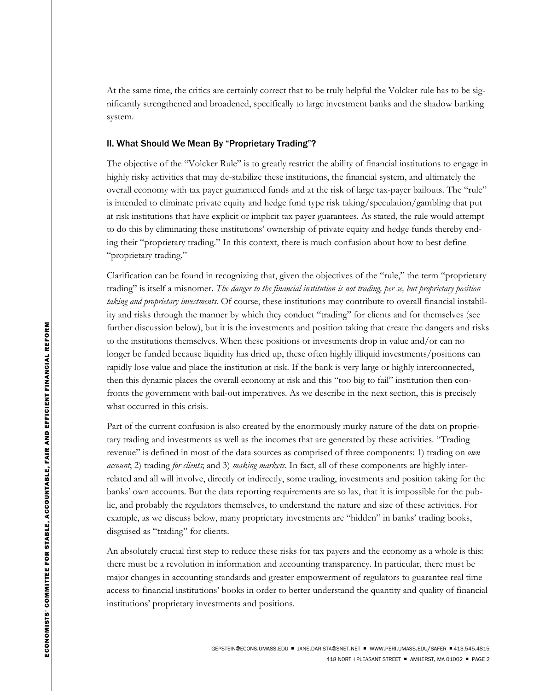At the same time, the critics are certainly correct that to be truly helpful the Volcker rule has to be significantly strengthened and broadened, specifically to large investment banks and the shadow banking system.

## II. What Should We Mean By "Proprietary Trading"?

The objective of the "Volcker Rule" is to greatly restrict the ability of financial institutions to engage in highly risky activities that may de-stabilize these institutions, the financial system, and ultimately the overall economy with tax payer guaranteed funds and at the risk of large tax-payer bailouts. The "rule" is intended to eliminate private equity and hedge fund type risk taking/speculation/gambling that put at risk institutions that have explicit or implicit tax payer guarantees. As stated, the rule would attempt to do this by eliminating these institutions' ownership of private equity and hedge funds thereby ending their "proprietary trading." In this context, there is much confusion about how to best define "proprietary trading."

Clarification can be found in recognizing that, given the objectives of the "rule," the term "proprietary trading" is itself a misnomer. *The danger to the financial institution is not trading, per se, but proprietary position taking and proprietary investments.* Of course, these institutions may contribute to overall financial instability and risks through the manner by which they conduct "trading" for clients and for themselves (see further discussion below), but it is the investments and position taking that create the dangers and risks to the institutions themselves. When these positions or investments drop in value and/or can no longer be funded because liquidity has dried up, these often highly illiquid investments/positions can rapidly lose value and place the institution at risk. If the bank is very large or highly interconnected, then this dynamic places the overall economy at risk and this "too big to fail" institution then confronts the government with bail-out imperatives. As we describe in the next section, this is precisely what occurred in this crisis.

Part of the current confusion is also created by the enormously murky nature of the data on proprietary trading and investments as well as the incomes that are generated by these activities. "Trading revenue" is defined in most of the data sources as comprised of three components: 1) trading on *own account*; 2) trading *for clients*; and 3) *making markets*. In fact, all of these components are highly interrelated and all will involve, directly or indirectly, some trading, investments and position taking for the banks' own accounts. But the data reporting requirements are so lax, that it is impossible for the public, and probably the regulators themselves, to understand the nature and size of these activities. For example, as we discuss below, many proprietary investments are "hidden" in banks' trading books, disguised as "trading" for clients.

An absolutely crucial first step to reduce these risks for tax payers and the economy as a whole is this: there must be a revolution in information and accounting transparency. In particular, there must be major changes in accounting standards and greater empowerment of regulators to guarantee real time access to financial institutions' books in order to better understand the quantity and quality of financial institutions' proprietary investments and positions.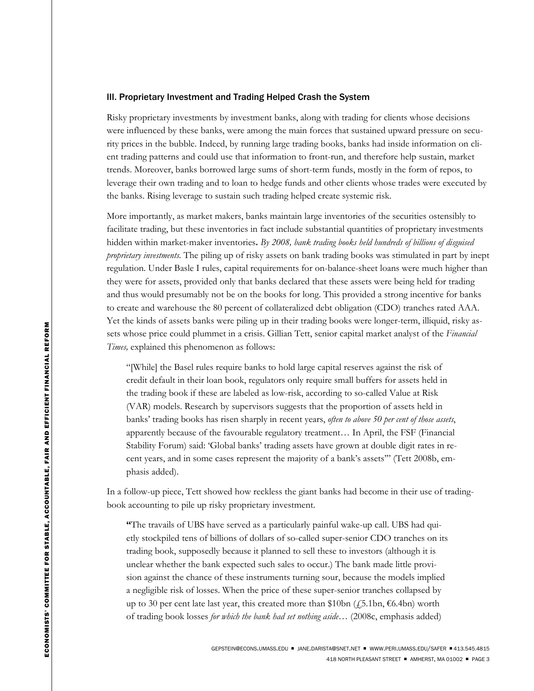#### III. Proprietary Investment and Trading Helped Crash the System

Risky proprietary investments by investment banks, along with trading for clients whose decisions were influenced by these banks, were among the main forces that sustained upward pressure on security prices in the bubble. Indeed, by running large trading books, banks had inside information on client trading patterns and could use that information to front-run, and therefore help sustain, market trends. Moreover, banks borrowed large sums of short-term funds, mostly in the form of repos, to leverage their own trading and to loan to hedge funds and other clients whose trades were executed by the banks. Rising leverage to sustain such trading helped create systemic risk.

More importantly, as market makers, banks maintain large inventories of the securities ostensibly to facilitate trading, but these inventories in fact include substantial quantities of proprietary investments hidden within market-maker inventories**.** *By 2008, bank trading books held hundreds of billions of disguised proprietary investments.* The piling up of risky assets on bank trading books was stimulated in part by inept regulation. Under Basle I rules, capital requirements for on-balance-sheet loans were much higher than they were for assets, provided only that banks declared that these assets were being held for trading and thus would presumably not be on the books for long. This provided a strong incentive for banks to create and warehouse the 80 percent of collateralized debt obligation (CDO) tranches rated AAA. Yet the kinds of assets banks were piling up in their trading books were longer-term, illiquid, risky assets whose price could plummet in a crisis. Gillian Tett, senior capital market analyst of the *Financial Times,* explained this phenomenon as follows:

"[While] the Basel rules require banks to hold large capital reserves against the risk of credit default in their loan book, regulators only require small buffers for assets held in the trading book if these are labeled as low-risk, according to so-called Value at Risk (VAR) models. Research by supervisors suggests that the proportion of assets held in banks' trading books has risen sharply in recent years, *often to above 50 per cent of those assets*, apparently because of the favourable regulatory treatment… In April, the FSF (Financial Stability Forum) said: 'Global banks' trading assets have grown at double digit rates in recent years, and in some cases represent the majority of a bank's assets'" (Tett 2008b, emphasis added).

In a follow-up piece, Tett showed how reckless the giant banks had become in their use of tradingbook accounting to pile up risky proprietary investment.

**"**The travails of UBS have served as a particularly painful wake-up call. UBS had quietly stockpiled tens of billions of dollars of so-called super-senior CDO tranches on its trading book, supposedly because it planned to sell these to investors (although it is unclear whether the bank expected such sales to occur.) The bank made little provision against the chance of these instruments turning sour, because the models implied a negligible risk of losses. When the price of these super-senior tranches collapsed by up to 30 per cent late last year, this created more than \$10bn ( $\text{\textsterling}5.1$ bn,  $\text{\textsterling}6.4$ bn) worth of trading book losses *for which the bank had set nothing aside*… (2008c, emphasis added)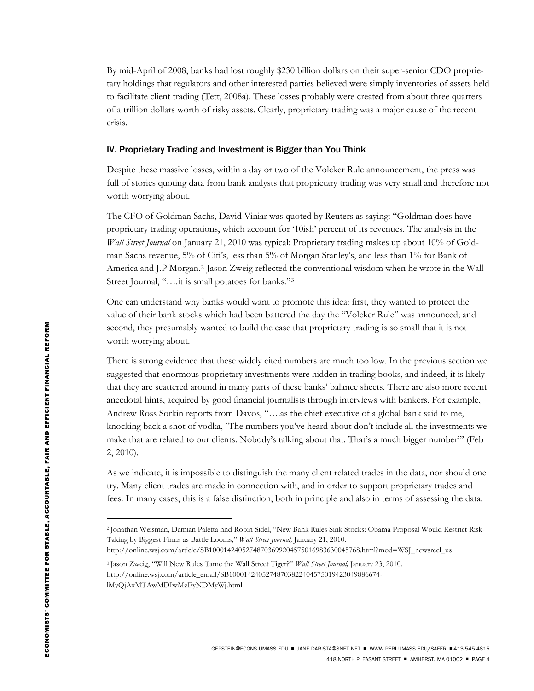By mid-April of 2008, banks had lost roughly \$230 billion dollars on their super-senior CDO proprietary holdings that regulators and other interested parties believed were simply inventories of assets held to facilitate client trading (Tett, 2008a). These losses probably were created from about three quarters of a trillion dollars worth of risky assets. Clearly, proprietary trading was a major cause of the recent crisis.

### IV. Proprietary Trading and Investment is Bigger than You Think

Despite these massive losses, within a day or two of the Volcker Rule announcement, the press was full of stories quoting data from bank analysts that proprietary trading was very small and therefore not worth worrying about.

The CFO of Goldman Sachs, David Viniar was quoted by Reuters as saying: "Goldman does have proprietary trading operations, which account for '10ish' percent of its revenues. The analysis in the *Wall Street Journal* on January 21, 2010 was typical: Proprietary trading makes up about 10% of Goldman Sachs revenue, 5% of Citi's, less than 5% of Morgan Stanley's, and less than 1% for Bank of America and J.P Morgan.[2](#page-3-0) Jason Zweig reflected the conventional wisdom when he wrote in the Wall Street Journal, "….it is small potatoes for banks."[3](#page-3-1)

One can understand why banks would want to promote this idea: first, they wanted to protect the value of their bank stocks which had been battered the day the "Volcker Rule" was announced; and second, they presumably wanted to build the case that proprietary trading is so small that it is not worth worrying about.

There is strong evidence that these widely cited numbers are much too low. In the previous section we suggested that enormous proprietary investments were hidden in trading books, and indeed, it is likely that they are scattered around in many parts of these banks' balance sheets. There are also more recent anecdotal hints, acquired by good financial journalists through interviews with bankers. For example, Andrew Ross Sorkin reports from Davos, "….as the chief executive of a global bank said to me, knocking back a shot of vodka, `The numbers you've heard about don't include all the investments we make that are related to our clients. Nobody's talking about that. That's a much bigger number'" (Feb 2, 2010).

As we indicate, it is impossible to distinguish the many client related trades in the data, nor should one try. Many client trades are made in connection with, and in order to support proprietary trades and fees. In many cases, this is a false distinction, both in principle and also in terms of assessing the data.

 $\overline{a}$ 

<span id="page-3-0"></span><sup>2</sup> [Jonathan Weisman,](http://online.wsj.com/search/search_center.html?KEYWORDS=JONATHAN+WEISMAN%2C&ARTICLESEARCHQUERY_PARSER=bylineAND) [Damian Paletta](http://online.wsj.com/search/search_center.html?KEYWORDS=DAMIAN+PALETTA&ARTICLESEARCHQUERY_PARSER=bylineAND) nnd [Robin Sidel,](http://online.wsj.com/search/search_center.html?KEYWORDS=ROBIN+SIDEL&ARTICLESEARCHQUERY_PARSER=bylineAND) "New Bank Rules Sink Stocks: Obama Proposal Would Restrict Risk-Taking by Biggest Firms as Battle Looms," *Wall Street Journal,* January 21, 2010.

http://online.wsj.com/article/SB10001424052748703699204575016983630045768.html?mod=WSJ\_newsreel\_us

<span id="page-3-1"></span><sup>3</sup> Jason Zweig, "Will New Rules Tame the Wall Street Tiger?" *Wall Street Journal,* January 23, 2010. http://online.wsj.com/article\_email/SB10001424052748703822404575019423049886674 lMyQjAxMTAwMDIwMzEyNDMyWj.html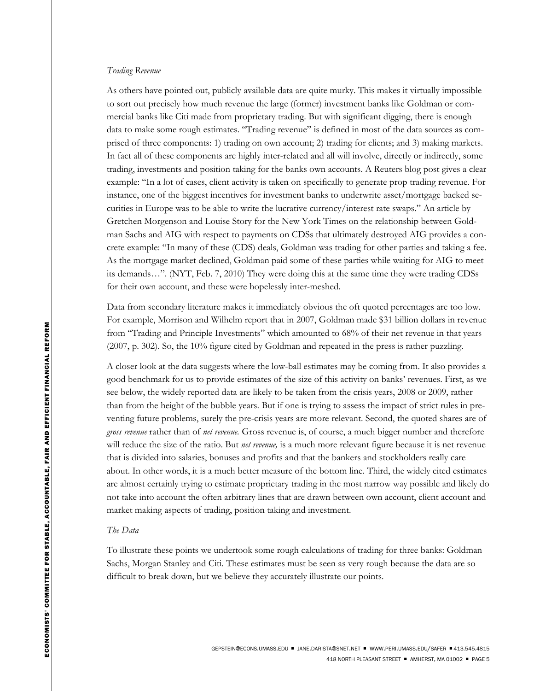#### *Trading Revenue*

As others have pointed out, publicly available data are quite murky. This makes it virtually impossible to sort out precisely how much revenue the large (former) investment banks like Goldman or commercial banks like Citi made from proprietary trading. But with significant digging, there is enough data to make some rough estimates. "Trading revenue" is defined in most of the data sources as comprised of three components: 1) trading on own account; 2) trading for clients; and 3) making markets. In fact all of these components are highly inter-related and all will involve, directly or indirectly, some trading, investments and position taking for the banks own accounts. A Reuters blog post gives a clear example: "In a lot of cases, client activity is taken on specifically to generate prop trading revenue. For instance, one of the biggest incentives for investment banks to underwrite asset/mortgage backed securities in Europe was to be able to write the lucrative currency/interest rate swaps." An article by Gretchen Morgenson and Louise Story for the New York Times on the relationship between Goldman Sachs and AIG with respect to payments on CDSs that ultimately destroyed AIG provides a concrete example: "In many of these (CDS) deals, Goldman was trading for other parties and taking a fee. As the mortgage market declined, Goldman paid some of these parties while waiting for AIG to meet its demands…". (NYT, Feb. 7, 2010) They were doing this at the same time they were trading CDSs for their own account, and these were hopelessly inter-meshed.

Data from secondary literature makes it immediately obvious the oft quoted percentages are too low. For example, Morrison and Wilhelm report that in 2007, Goldman made \$31 billion dollars in revenue from "Trading and Principle Investments" which amounted to 68% of their net revenue in that years (2007, p. 302). So, the 10% figure cited by Goldman and repeated in the press is rather puzzling.

A closer look at the data suggests where the low-ball estimates may be coming from. It also provides a good benchmark for us to provide estimates of the size of this activity on banks' revenues. First, as we see below, the widely reported data are likely to be taken from the crisis years, 2008 or 2009, rather than from the height of the bubble years. But if one is trying to assess the impact of strict rules in preventing future problems, surely the pre-crisis years are more relevant. Second, the quoted shares are of *gross revenue* rather than of *net revenue.* Gross revenue is, of course, a much bigger number and therefore will reduce the size of the ratio. But *net revenue,* is a much more relevant figure because it is net revenue that is divided into salaries, bonuses and profits and that the bankers and stockholders really care about. In other words, it is a much better measure of the bottom line. Third, the widely cited estimates are almost certainly trying to estimate proprietary trading in the most narrow way possible and likely do not take into account the often arbitrary lines that are drawn between own account, client account and market making aspects of trading, position taking and investment.

#### *The Data*

To illustrate these points we undertook some rough calculations of trading for three banks: Goldman Sachs, Morgan Stanley and Citi. These estimates must be seen as very rough because the data are so difficult to break down, but we believe they accurately illustrate our points.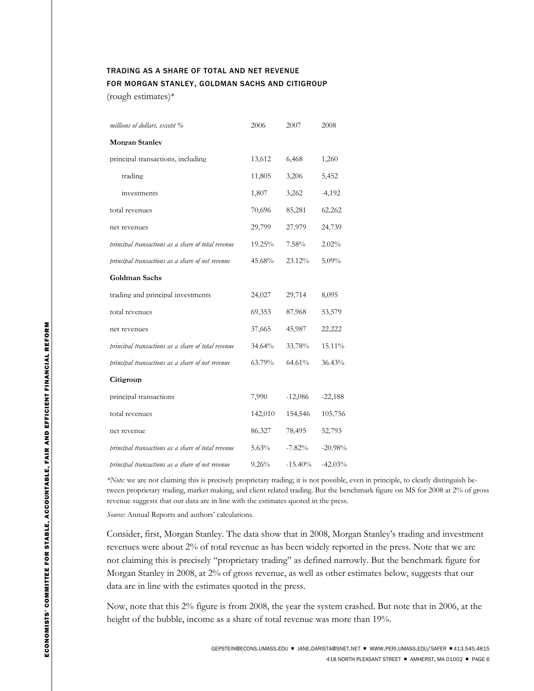# TRADING AS A SHARE OF TOTAL AND NET REVENUE FOR MORGAN STANLEY, GOLDMAN SACHS AND CITIGROUP

(rough estimates)\*

| millions of dollars, except %                      | 2006     | 2007       | 2008      |
|----------------------------------------------------|----------|------------|-----------|
| <b>Morgan Stanley</b>                              |          |            |           |
| principal transactions, including                  | 13.612   | 6.468      | 1.260     |
| trading                                            | 11,805   | 3.206      | 5.452     |
| investments                                        | 1,807    | 3.262      | $-4,192$  |
| total revenues                                     | 70.696   | 85.281     | 62.262    |
| net revenues                                       | 29,799   | 27,979     | 24,739    |
| principal transactions as a share of total revenue | 19.25%   | 7.58%      | 2.02%     |
| principal transactions as a share of net revenue   | 45.68%   | 23.12%     | $5.09\%$  |
| Goldman Sachs                                      |          |            |           |
| trading and principal investments                  | 24,027   | 29,714     | 8,095     |
| total revenues                                     | 69.353   | 87.968     | 53,579    |
| net revenues                                       | 37,665   | 45,987     | 22.222    |
| principal transactions as a share of total revenue | 34.64%   | 33.78%     | 15.11%    |
| principal transactions as a share of net revenue   | 63.79%   | 64.61%     | 36.43%    |
| Citigroup                                          |          |            |           |
| principal transactions                             | 7.990    | $-12,086$  | $-22.188$ |
| total revenues                                     | 142,010  | 154,546    | 105,756   |
| net revenue                                        | 86,327   | 78,495     | 52.793    |
| principal transactions as a share of total revenue | 5.63%    | $-7.82%$   | $-20.98%$ |
| principal transactions as a share of net revenue   | $9.26\%$ | $-15.40\%$ | $-42.03%$ |

*\*Note:* we are not claiming this is precisely proprietary trading; it is not possible, even in principle, to clearly distinguish between proprietary trading, market making, and client related trading. But the benchmark figure on MS for 2008 at 2% of gross revenue suggests that our data are in line with the estimates quoted in the press.

*Source:* Annual Reports and authors' calculations.

Consider, first, Morgan Stanley. The data show that in 2008, Morgan Stanley's trading and investment revenues were about 2% of total revenue as has been widely reported in the press. Note that we are not claiming this is precisely "proprietary trading" as defined narrowly. But the benchmark figure for Morgan Stanley in 2008, at 2% of gross revenue, as well as other estimates below, suggests that our data are in line with the estimates quoted in the press.

Now, note that this 2% figure is from 2008, the year the system crashed. But note that in 2006, at the height of the bubble, income as a share of total revenue was more than 19%.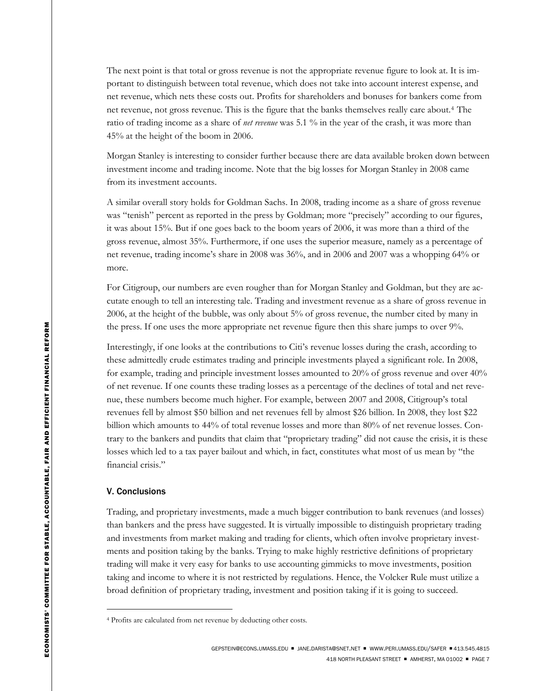The next point is that total or gross revenue is not the appropriate revenue figure to look at. It is important to distinguish between total revenue, which does not take into account interest expense, and net revenue, which nets these costs out. Profits for shareholders and bonuses for bankers come from net revenue, not gross revenue. This is the figure that the banks themselves really care about.[4](#page-6-0) The ratio of trading income as a share of *net revenue* was 5.1 % in the year of the crash, it was more than 45% at the height of the boom in 2006.

Morgan Stanley is interesting to consider further because there are data available broken down between investment income and trading income. Note that the big losses for Morgan Stanley in 2008 came from its investment accounts.

A similar overall story holds for Goldman Sachs. In 2008, trading income as a share of gross revenue was "tenish" percent as reported in the press by Goldman; more "precisely" according to our figures, it was about 15%. But if one goes back to the boom years of 2006, it was more than a third of the gross revenue, almost 35%. Furthermore, if one uses the superior measure, namely as a percentage of net revenue, trading income's share in 2008 was 36%, and in 2006 and 2007 was a whopping 64% or more.

For Citigroup, our numbers are even rougher than for Morgan Stanley and Goldman, but they are accutate enough to tell an interesting tale. Trading and investment revenue as a share of gross revenue in 2006, at the height of the bubble, was only about 5% of gross revenue, the number cited by many in the press. If one uses the more appropriate net revenue figure then this share jumps to over 9%.

Interestingly, if one looks at the contributions to Citi's revenue losses during the crash, according to these admittedly crude estimates trading and principle investments played a significant role. In 2008, for example, trading and principle investment losses amounted to 20% of gross revenue and over 40% of net revenue. If one counts these trading losses as a percentage of the declines of total and net revenue, these numbers become much higher. For example, between 2007 and 2008, Citigroup's total revenues fell by almost \$50 billion and net revenues fell by almost \$26 billion. In 2008, they lost \$22 billion which amounts to 44% of total revenue losses and more than 80% of net revenue losses. Contrary to the bankers and pundits that claim that "proprietary trading" did not cause the crisis, it is these losses which led to a tax payer bailout and which, in fact, constitutes what most of us mean by "the financial crisis."

### V. Conclusions

 $\overline{a}$ 

Trading, and proprietary investments, made a much bigger contribution to bank revenues (and losses) than bankers and the press have suggested. It is virtually impossible to distinguish proprietary trading and investments from market making and trading for clients, which often involve proprietary investments and position taking by the banks. Trying to make highly restrictive definitions of proprietary trading will make it very easy for banks to use accounting gimmicks to move investments, position taking and income to where it is not restricted by regulations. Hence, the Volcker Rule must utilize a broad definition of proprietary trading, investment and position taking if it is going to succeed.

<span id="page-6-0"></span><sup>4</sup> Profits are calculated from net revenue by deducting other costs.